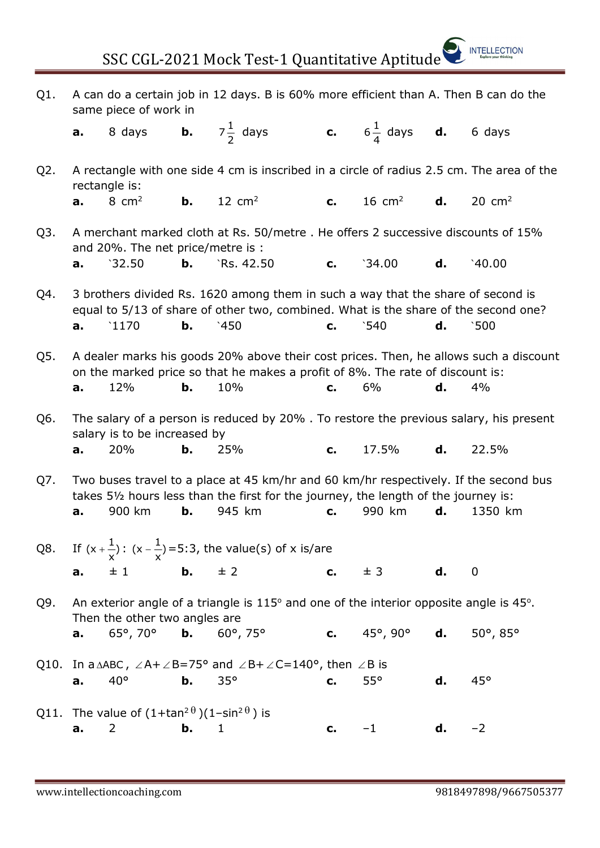| Q1. | A can do a certain job in 12 days. B is 60% more efficient than A. Then B can do the<br>same piece of work in                                                                                                                                |                                                                                                            |           |                                                                                                                                             |         |                   |    |                   |  |  |  |  |  |
|-----|----------------------------------------------------------------------------------------------------------------------------------------------------------------------------------------------------------------------------------------------|------------------------------------------------------------------------------------------------------------|-----------|---------------------------------------------------------------------------------------------------------------------------------------------|---------|-------------------|----|-------------------|--|--|--|--|--|
|     | a.                                                                                                                                                                                                                                           | 8 days                                                                                                     |           | <b>b.</b> $7\frac{1}{2}$ days <b>c.</b> $6\frac{1}{4}$ days <b>d.</b> 6 days                                                                |         |                   |    |                   |  |  |  |  |  |
| Q2. |                                                                                                                                                                                                                                              | A rectangle with one side 4 cm is inscribed in a circle of radius 2.5 cm. The area of the<br>rectangle is: |           |                                                                                                                                             |         |                   |    |                   |  |  |  |  |  |
|     | a.                                                                                                                                                                                                                                           | 8 $cm2$                                                                                                    | b.        | $12 \text{ cm}^2$                                                                                                                           | c.      | $16 \text{ cm}^2$ | d. | $20 \text{ cm}^2$ |  |  |  |  |  |
| Q3. | A merchant marked cloth at Rs. 50/metre. He offers 2 successive discounts of 15%<br>and 20%. The net price/metre is :                                                                                                                        |                                                                                                            |           |                                                                                                                                             |         |                   |    |                   |  |  |  |  |  |
|     | a.                                                                                                                                                                                                                                           | 32.50                                                                                                      | b.        | `Rs. 42.50                                                                                                                                  | c.      | 34.00             | d. | 40.00             |  |  |  |  |  |
| Q4. | 3 brothers divided Rs. 1620 among them in such a way that the share of second is<br>equal to 5/13 of share of other two, combined. What is the share of the second one?                                                                      |                                                                                                            |           |                                                                                                                                             |         |                   |    |                   |  |  |  |  |  |
|     | a.                                                                                                                                                                                                                                           | 1170                                                                                                       | b.        | 450                                                                                                                                         | $C_{1}$ | $\degree$ 540     | d. | 500               |  |  |  |  |  |
| Q5. | A dealer marks his goods 20% above their cost prices. Then, he allows such a discount<br>on the marked price so that he makes a profit of 8%. The rate of discount is:<br>10%<br>6%<br>12%<br>b.<br>d.<br>4%<br>$C_{1}$<br>a.                |                                                                                                            |           |                                                                                                                                             |         |                   |    |                   |  |  |  |  |  |
| Q6. |                                                                                                                                                                                                                                              | salary is to be increased by                                                                               |           | The salary of a person is reduced by 20%. To restore the previous salary, his present                                                       |         |                   |    |                   |  |  |  |  |  |
|     | a.                                                                                                                                                                                                                                           | 20%                                                                                                        | b.        | 25%                                                                                                                                         | c.      | 17.5%             | d. | 22.5%             |  |  |  |  |  |
| Q7. | Two buses travel to a place at 45 km/hr and 60 km/hr respectively. If the second bus<br>takes 51/2 hours less than the first for the journey, the length of the journey is:<br>900 km<br>b.<br>945 km<br>990 km<br>d.<br>1350 km<br>a.<br>c. |                                                                                                            |           |                                                                                                                                             |         |                   |    |                   |  |  |  |  |  |
|     |                                                                                                                                                                                                                                              |                                                                                                            |           |                                                                                                                                             |         |                   |    |                   |  |  |  |  |  |
| Q8. |                                                                                                                                                                                                                                              |                                                                                                            |           | If $(x + \frac{1}{x})$ : $(x - \frac{1}{x}) = 5:3$ , the value(s) of x is/are                                                               |         |                   |    |                   |  |  |  |  |  |
|     | a.                                                                                                                                                                                                                                           | ±1                                                                                                         | <b>b.</b> | ± 2                                                                                                                                         | c.      | $\pm$ 3           | d. | $\boldsymbol{0}$  |  |  |  |  |  |
| Q9. |                                                                                                                                                                                                                                              | Then the other two angles are                                                                              |           | An exterior angle of a triangle is $115^{\circ}$ and one of the interior opposite angle is 45 $^{\circ}$ .                                  |         |                   |    |                   |  |  |  |  |  |
|     | a.                                                                                                                                                                                                                                           | $65^{\circ}$ , 70 $^{\circ}$                                                                               | b.        | $60^{\circ}$ , 75 $^{\circ}$                                                                                                                | c.      | 45°, 90°          | d. | 50°, 85°          |  |  |  |  |  |
|     | a.                                                                                                                                                                                                                                           | $40^{\circ}$                                                                                               | b.        | Q10. In a $\triangle ABC$ , $\angle A + \angle B = 75^{\circ}$ and $\angle B + \angle C = 140^{\circ}$ , then $\angle B$ is<br>$35^{\circ}$ |         | 55°               | d. | 45°               |  |  |  |  |  |
|     |                                                                                                                                                                                                                                              |                                                                                                            |           |                                                                                                                                             | c.      |                   |    |                   |  |  |  |  |  |
|     | a.                                                                                                                                                                                                                                           | Q11. The value of $(1+\tan^2\theta)(1-\sin^2\theta)$ is<br>$\overline{2}$                                  | b.        | $\mathbf{1}$                                                                                                                                | c.      | $-1$              | d. | $-2$              |  |  |  |  |  |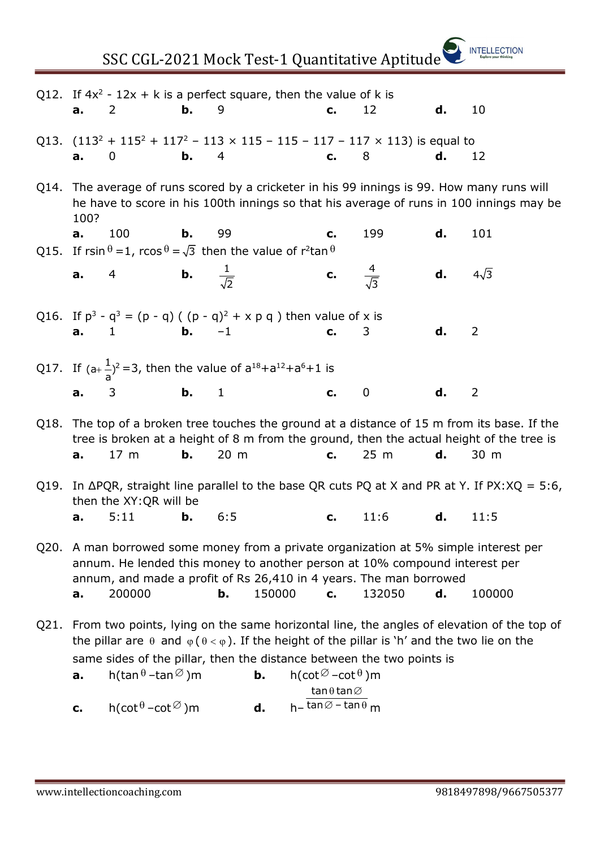| SSC CGL-2021 Mock Test-1 Quantitative Aptitude |                                                                                                                                                                                                                                                                                           |                                                                                                              |               |     |        |  |                                                                       |             |    |                                                                                                            |  |  |
|------------------------------------------------|-------------------------------------------------------------------------------------------------------------------------------------------------------------------------------------------------------------------------------------------------------------------------------------------|--------------------------------------------------------------------------------------------------------------|---------------|-----|--------|--|-----------------------------------------------------------------------|-------------|----|------------------------------------------------------------------------------------------------------------|--|--|
|                                                | а.                                                                                                                                                                                                                                                                                        | Q12. If $4x^2 - 12x + k$ is a perfect square, then the value of k is<br>2                                    | b.            | 9   |        |  | c.                                                                    | 12          | d. | 10                                                                                                         |  |  |
|                                                | a.                                                                                                                                                                                                                                                                                        | Q13. $(113^2 + 115^2 + 117^2 - 113 \times 115 - 115 - 117 - 117 \times 113)$ is equal to<br>0                | $\mathbf b$ . | 4   |        |  | c. 8                                                                  |             | d. | 12                                                                                                         |  |  |
|                                                | Q14. The average of runs scored by a cricketer in his 99 innings is 99. How many runs will<br>he have to score in his 100th innings so that his average of runs in 100 innings may be<br>100?                                                                                             |                                                                                                              |               |     |        |  |                                                                       |             |    |                                                                                                            |  |  |
|                                                | а.                                                                                                                                                                                                                                                                                        | 100<br>Q15. If rsin $\theta = 1$ , rcos $\theta = \sqrt{3}$ then the value of r <sup>2</sup> tan $\theta$    | b.            | 99  |        |  | C.                                                                    | 199         | d. | 101                                                                                                        |  |  |
|                                                | a.                                                                                                                                                                                                                                                                                        | 4 <b>b.</b> $\frac{1}{\sqrt{2}}$                                                                             |               |     |        |  | <b>c.</b> $\frac{4}{\sqrt{3}}$                                        |             |    | <b>d.</b> $4\sqrt{3}$                                                                                      |  |  |
|                                                |                                                                                                                                                                                                                                                                                           | Q16. If $p^3 - q^3 = (p - q) ((p - q)^2 + x p q)$ then value of x is<br><b>a.</b> 1 <b>b.</b> -1 <b>c.</b> 3 |               |     |        |  |                                                                       |             | d. | 2                                                                                                          |  |  |
|                                                |                                                                                                                                                                                                                                                                                           | Q17. If $(a+\frac{1}{a})^2=3$ , then the value of $a^{18}+a^{12}+a^6+1$ is                                   |               |     |        |  |                                                                       |             |    |                                                                                                            |  |  |
|                                                | a.                                                                                                                                                                                                                                                                                        | $\mathbf{b}$ , 1<br>$\overline{\phantom{a}}$ 3                                                               |               |     |        |  | $c_{\cdot}$                                                           | $\mathbf 0$ | d. | 2                                                                                                          |  |  |
|                                                | Q18. The top of a broken tree touches the ground at a distance of 15 m from its base. If the<br>tree is broken at a height of 8 m from the ground, then the actual height of the tree is<br>b.<br>20 m<br>25 <sub>m</sub><br>d.<br>17 m<br>C.<br>30 m<br>a.                               |                                                                                                              |               |     |        |  |                                                                       |             |    |                                                                                                            |  |  |
|                                                |                                                                                                                                                                                                                                                                                           | then the XY:QR will be                                                                                       |               |     |        |  |                                                                       |             |    | Q19. In $\triangle PQR$ , straight line parallel to the base QR cuts PQ at X and PR at Y. If PX: XQ = 5:6, |  |  |
|                                                | a.                                                                                                                                                                                                                                                                                        | 5:11                                                                                                         | b.            | 6:5 |        |  | c.                                                                    | 11:6        | d. | 11:5                                                                                                       |  |  |
| Q20.                                           | A man borrowed some money from a private organization at 5% simple interest per<br>annum. He lended this money to another person at 10% compound interest per<br>annum, and made a profit of Rs 26,410 in 4 years. The man borrowed                                                       |                                                                                                              |               |     |        |  |                                                                       |             |    |                                                                                                            |  |  |
|                                                | a.                                                                                                                                                                                                                                                                                        | 200000                                                                                                       |               | b.  | 150000 |  | c.                                                                    | 132050      | d. | 100000                                                                                                     |  |  |
| Q21.                                           | From two points, lying on the same horizontal line, the angles of elevation of the top of<br>the pillar are $\theta$ and $\varphi(\theta < \varphi)$ . If the height of the pillar is 'h' and the two lie on the<br>same sides of the pillar, then the distance between the two points is |                                                                                                              |               |     |        |  |                                                                       |             |    |                                                                                                            |  |  |
|                                                | a.                                                                                                                                                                                                                                                                                        | h(tan $\theta$ –tan $\varnothing$ )m                                                                         |               |     | b.     |  | $h(\cot \varnothing - \cot \theta)$ m<br>$tan \theta tan \varnothing$ |             |    |                                                                                                            |  |  |
|                                                | $h$ – tan $\varnothing$ – tan $\theta$ m<br>$h(\cot^{\theta} - \cot^{\oslash})$ m<br>d.<br>c.                                                                                                                                                                                             |                                                                                                              |               |     |        |  |                                                                       |             |    |                                                                                                            |  |  |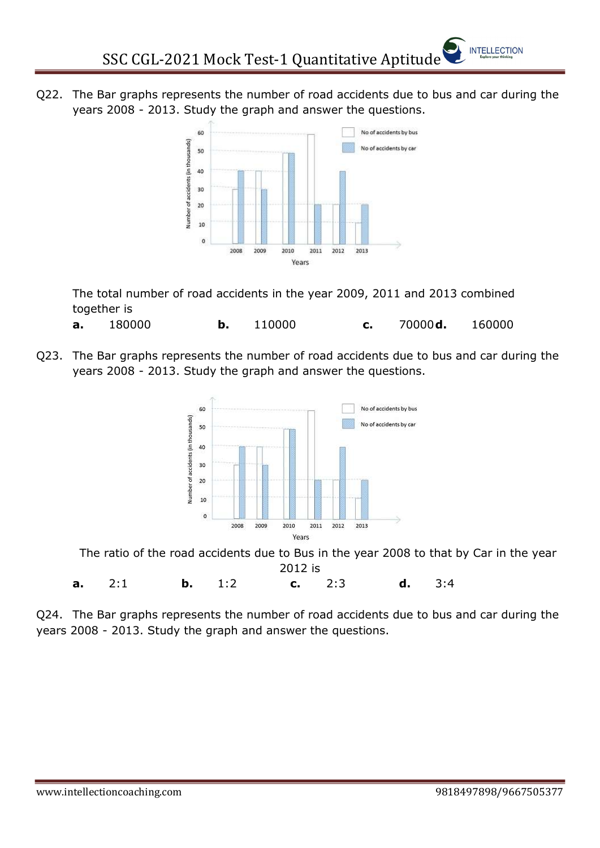Q22. The Bar graphs represents the number of road accidents due to bus and car during the years 2008 - 2013. Study the graph and answer the questions.



The total number of road accidents in the year 2009, 2011 and 2013 combined together is

**a.** 180000 **b.** 110000 **c.** 70000**d.** 160000

Q23. The Bar graphs represents the number of road accidents due to bus and car during the years 2008 - 2013. Study the graph and answer the questions.



The ratio of the road accidents due to Bus in the year 2008 to that by Car in the year 2012 is

a. 2:1 b. 1:2 c. 2:3 d. 3:4

Q24. The Bar graphs represents the number of road accidents due to bus and car during the years 2008 - 2013. Study the graph and answer the questions.